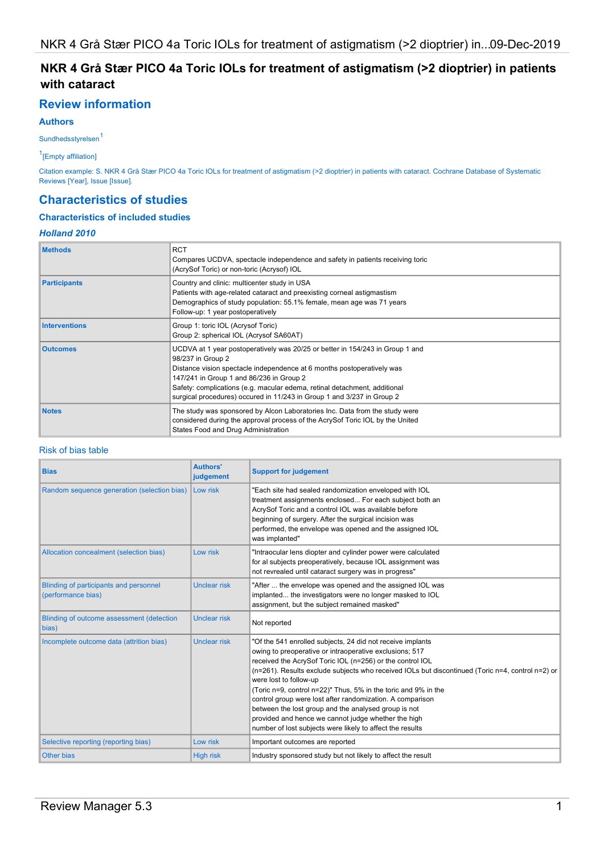## NKR 4 Grå Stær PICO 4a Toric IOLs for treatment of astigmatism (>2 dioptrier) in patients with cataract

## Review information

### Authors

Sundhedsstyrelsen<sup>1</sup>

1 [Empty affiliation]

Citation example: S. NKR 4 Grå Stær PICO 4a Toric IOLs for treatment of astigmatism (>2 dioptrier) in patients with cataract. Cochrane Database of Systematic Reviews [Year], Issue [Issue].

## Characteristics of studies

## Characteristics of included studies

## Holland 2010

| <b>Methods</b>       | <b>RCT</b><br>Compares UCDVA, spectacle independence and safety in patients receiving toric<br>(AcrySof Toric) or non-toric (Acrysof) IOL                                                                                                                                                                                                                                       |
|----------------------|---------------------------------------------------------------------------------------------------------------------------------------------------------------------------------------------------------------------------------------------------------------------------------------------------------------------------------------------------------------------------------|
| <b>Participants</b>  | Country and clinic: multicenter study in USA<br>Patients with age-related cataract and preexisting corneal astigmastism<br>Demographics of study population: 55.1% female, mean age was 71 years<br>Follow-up: 1 year postoperatively                                                                                                                                           |
| <b>Interventions</b> | Group 1: toric IOL (Acrysof Toric)<br>Group 2: spherical IOL (Acrysof SA60AT)                                                                                                                                                                                                                                                                                                   |
| <b>Outcomes</b>      | UCDVA at 1 year postoperatively was 20/25 or better in 154/243 in Group 1 and<br>98/237 in Group 2<br>Distance vision spectacle independence at 6 months postoperatively was<br>147/241 in Group 1 and 86/236 in Group 2<br>Safety: complications (e.g. macular edema, retinal detachment, additional<br>surgical procedures) occured in 11/243 in Group 1 and 3/237 in Group 2 |
| <b>Notes</b>         | The study was sponsored by Alcon Laboratories Inc. Data from the study were<br>considered during the approval process of the AcrySof Toric IOL by the United<br>States Food and Drug Administration                                                                                                                                                                             |

#### Risk of bias table

| <b>Bias</b>                                                  | <b>Authors'</b><br>judgement | <b>Support for judgement</b>                                                                                                                                                                                                                                                                                                                                                                                                                                                                                                                                                                                                |
|--------------------------------------------------------------|------------------------------|-----------------------------------------------------------------------------------------------------------------------------------------------------------------------------------------------------------------------------------------------------------------------------------------------------------------------------------------------------------------------------------------------------------------------------------------------------------------------------------------------------------------------------------------------------------------------------------------------------------------------------|
| Random sequence generation (selection bias)                  | Low risk                     | "Each site had sealed randomization enveloped with IOL<br>treatment assignments enclosed For each subject both an<br>AcrySof Toric and a control IOL was available before<br>beginning of surgery. After the surgical incision was<br>performed, the envelope was opened and the assigned IOL<br>was implanted"                                                                                                                                                                                                                                                                                                             |
| Allocation concealment (selection bias)                      | Low risk                     | "Intraocular lens diopter and cylinder power were calculated<br>for al subjects preoperatively, because IOL assignment was<br>not revrealed until cataract surgery was in progress"                                                                                                                                                                                                                                                                                                                                                                                                                                         |
| Blinding of participants and personnel<br>(performance bias) | Unclear risk                 | "After  the envelope was opened and the assigned IOL was<br>implanted the investigators were no longer masked to IOL<br>assignment, but the subject remained masked"                                                                                                                                                                                                                                                                                                                                                                                                                                                        |
| Blinding of outcome assessment (detection<br>bias)           | Unclear risk                 | Not reported                                                                                                                                                                                                                                                                                                                                                                                                                                                                                                                                                                                                                |
| Incomplete outcome data (attrition bias)                     | Unclear risk                 | "Of the 541 enrolled subjects, 24 did not receive implants<br>owing to preoperative or intraoperative exclusions; 517<br>received the AcrySof Toric IOL (n=256) or the control IOL<br>(n=261). Results exclude subjects who received IOLs but discontinued (Toric n=4, control n=2) or<br>were lost to follow-up<br>(Toric n=9, control n=22)" Thus, 5% in the toric and 9% in the<br>control group were lost after randomization. A comparison<br>between the lost group and the analysed group is not<br>provided and hence we cannot judge whether the high<br>number of lost subjects were likely to affect the results |
| Selective reporting (reporting bias)                         | Low risk                     | Important outcomes are reported                                                                                                                                                                                                                                                                                                                                                                                                                                                                                                                                                                                             |
| <b>Other bias</b>                                            | <b>High risk</b>             | Industry sponsored study but not likely to affect the result                                                                                                                                                                                                                                                                                                                                                                                                                                                                                                                                                                |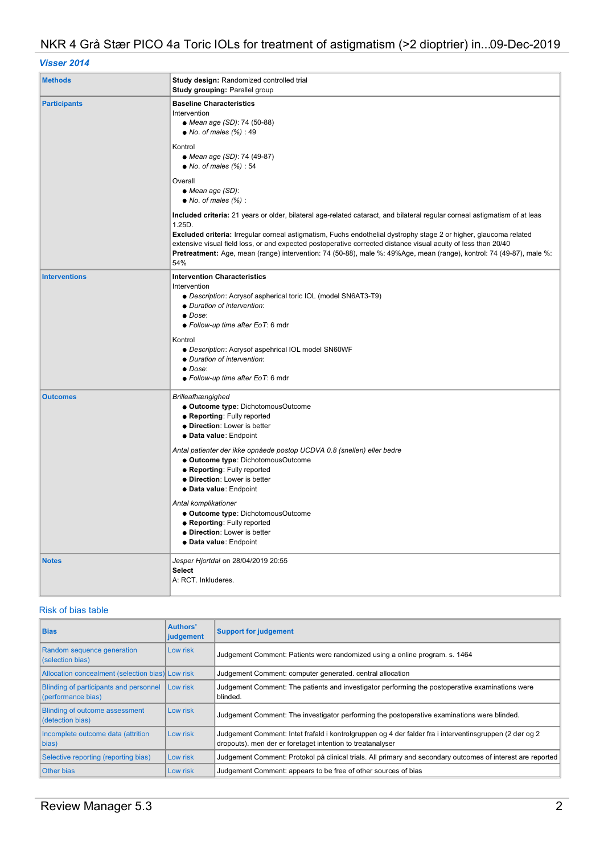## Visser 2014

| <b>Methods</b>       | Study design: Randomized controlled trial<br>Study grouping: Parallel group                                                                                                                                                                                                                                                                                                                                                                                                                                                                                   |  |
|----------------------|---------------------------------------------------------------------------------------------------------------------------------------------------------------------------------------------------------------------------------------------------------------------------------------------------------------------------------------------------------------------------------------------------------------------------------------------------------------------------------------------------------------------------------------------------------------|--|
| <b>Participants</b>  | <b>Baseline Characteristics</b><br>Intervention<br>• Mean age (SD): 74 (50-88)<br>$\bullet$ No. of males (%): 49<br>Kontrol<br>• Mean age (SD): 74 (49-87)<br>$\bullet$ No. of males (%): 54<br>Overall                                                                                                                                                                                                                                                                                                                                                       |  |
|                      | • Mean age (SD):<br>$\bullet$ No. of males (%):<br>Included criteria: 21 years or older, bilateral age-related cataract, and bilateral regular corneal astigmatism of at leas<br>1.25D.<br>Excluded criteria: Irregular corneal astigmatism, Fuchs endothelial dystrophy stage 2 or higher, glaucoma related<br>extensive visual field loss, or and expected postoperative corrected distance visual acuity of less than 20/40<br>Pretreatment: Age, mean (range) intervention: 74 (50-88), male %: 49%Age, mean (range), kontrol: 74 (49-87), male %:<br>54% |  |
| <b>Interventions</b> | <b>Intervention Characteristics</b><br>Intervention<br>• Description: Acrysof aspherical toric IOL (model SN6AT3-T9)<br>• Duration of intervention:<br>$\bullet$ Dose:<br>• Follow-up time after EoT: 6 mdr<br>Kontrol<br>· Description: Acrysof aspehrical IOL model SN60WF<br>• Duration of intervention:<br>$\bullet$ Dose:<br>· Follow-up time after EoT: 6 mdr                                                                                                                                                                                           |  |
| <b>Outcomes</b>      | <b>Brilleafhængighed</b><br><b>. Outcome type: DichotomousOutcome</b><br>· Reporting: Fully reported<br>• Direction: Lower is better<br>· Data value: Endpoint<br>Antal patienter der ikke opnåede postop UCDVA 0.8 (snellen) eller bedre<br>• Outcome type: DichotomousOutcome<br>• Reporting: Fully reported<br>· Direction: Lower is better<br>· Data value: Endpoint<br>Antal komplikationer<br>· Outcome type: DichotomousOutcome<br>• Reporting: Fully reported<br>· Direction: Lower is better<br>· Data value: Endpoint                               |  |
| <b>Notes</b>         | Jesper Hjortdal on 28/04/2019 20:55<br><b>Select</b><br>A: RCT. Inkluderes.                                                                                                                                                                                                                                                                                                                                                                                                                                                                                   |  |

## Risk of bias table

| <b>Bias</b>                                                           | Authors'<br>judgement | <b>Support for judgement</b>                                                                                                                                          |
|-----------------------------------------------------------------------|-----------------------|-----------------------------------------------------------------------------------------------------------------------------------------------------------------------|
| Random sequence generation<br>(selection bias)                        | Low risk              | Judgement Comment: Patients were randomized using a online program. s. 1464                                                                                           |
| Allocation concealment (selection bias) Low risk                      |                       | Judgement Comment: computer generated. central allocation                                                                                                             |
| Blinding of participants and personnel Low risk<br>(performance bias) |                       | Judgement Comment: The patients and investigator performing the postoperative examinations were<br>blinded.                                                           |
| <b>Blinding of outcome assessment</b><br>(detection bias)             | Low risk              | Judgement Comment: The investigator performing the postoperative examinations were blinded.                                                                           |
| Incomplete outcome data (attrition<br>bias)                           | Low risk              | Judgement Comment: Intet frafald i kontrolgruppen og 4 der falder fra i interventinsgruppen (2 dør og 2<br>dropouts). men der er foretaget intention to treatanalyser |
| Selective reporting (reporting bias)                                  | Low risk              | Judgement Comment: Protokol på clinical trials. All primary and secondary outcomes of interest are reported                                                           |
| <b>Other bias</b>                                                     | Low risk              | Judgement Comment: appears to be free of other sources of bias                                                                                                        |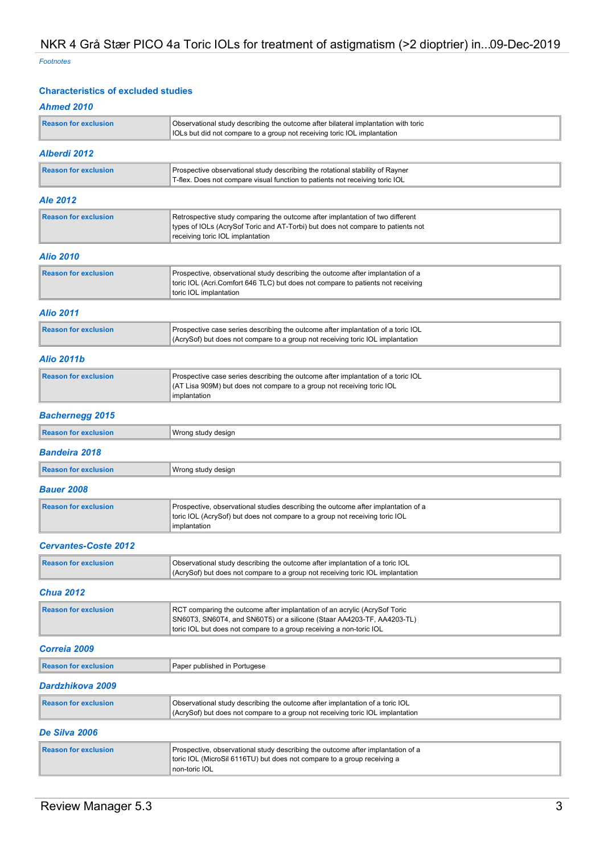Footnotes

### Characteristics of excluded studies

## Ahmed 2010

| <b>Reason for exclusion</b> | Observational study describing the outcome after bilateral implantation with toric<br>IOLs but did not compare to a group not receiving toric IOL implantation                                                             |  |
|-----------------------------|----------------------------------------------------------------------------------------------------------------------------------------------------------------------------------------------------------------------------|--|
| Alberdi 2012                |                                                                                                                                                                                                                            |  |
| <b>Reason for exclusion</b> | Prospective observational study describing the rotational stability of Rayner<br>T-flex. Does not compare visual function to patients not receiving toric IOL                                                              |  |
| <b>Ale 2012</b>             |                                                                                                                                                                                                                            |  |
| <b>Reason for exclusion</b> | Retrospective study comparing the outcome after implantation of two different<br>types of IOLs (AcrySof Toric and AT-Torbi) but does not compare to patients not<br>receiving toric IOL implantation                       |  |
| <b>Alio 2010</b>            |                                                                                                                                                                                                                            |  |
| <b>Reason for exclusion</b> | Prospective, observational study describing the outcome after implantation of a<br>toric IOL (Acri.Comfort 646 TLC) but does not compare to patients not receiving<br>toric IOL implantation                               |  |
| <b>Alio 2011</b>            |                                                                                                                                                                                                                            |  |
| <b>Reason for exclusion</b> | Prospective case series describing the outcome after implantation of a toric IOL<br>(AcrySof) but does not compare to a group not receiving toric IOL implantation                                                         |  |
| <b>Alio 2011b</b>           |                                                                                                                                                                                                                            |  |
| <b>Reason for exclusion</b> | Prospective case series describing the outcome after implantation of a toric IOL<br>(AT Lisa 909M) but does not compare to a group not receiving toric IOL<br>implantation                                                 |  |
| <b>Bachernegg 2015</b>      |                                                                                                                                                                                                                            |  |
| <b>Reason for exclusion</b> | Wrong study design                                                                                                                                                                                                         |  |
| <b>Bandeira 2018</b>        |                                                                                                                                                                                                                            |  |
| <b>Reason for exclusion</b> | Wrong study design                                                                                                                                                                                                         |  |
| <b>Bauer 2008</b>           |                                                                                                                                                                                                                            |  |
| <b>Reason for exclusion</b> | Prospective, observational studies describing the outcome after implantation of a<br>toric IOL (AcrySof) but does not compare to a group not receiving toric IOL<br>implantation                                           |  |
| <b>Cervantes-Coste 2012</b> |                                                                                                                                                                                                                            |  |
| <b>Reason for exclusion</b> | Observational study describing the outcome after implantation of a toric IOL<br>(AcrySof) but does not compare to a group not receiving toric IOL implantation                                                             |  |
| <b>Chua 2012</b>            |                                                                                                                                                                                                                            |  |
| <b>Reason for exclusion</b> | RCT comparing the outcome after implantation of an acrylic (AcrySof Toric<br>SN60T3, SN60T4, and SN60T5) or a silicone (Staar AA4203-TF, AA4203-TL)<br>toric IOL but does not compare to a group receiving a non-toric IOL |  |
| Correia 2009                |                                                                                                                                                                                                                            |  |
| <b>Reason for exclusion</b> | Paper published in Portugese                                                                                                                                                                                               |  |
| Dardzhikova 2009            |                                                                                                                                                                                                                            |  |
| <b>Reason for exclusion</b> | Observational study describing the outcome after implantation of a toric IOL<br>(AcrySof) but does not compare to a group not receiving toric IOL implantation                                                             |  |
| De Silva 2006               |                                                                                                                                                                                                                            |  |
| <b>Reason for exclusion</b> | Prospective, observational study describing the outcome after implantation of a<br>toric IOL (MicroSil 6116TU) but does not compare to a group receiving a<br>non-toric IOL                                                |  |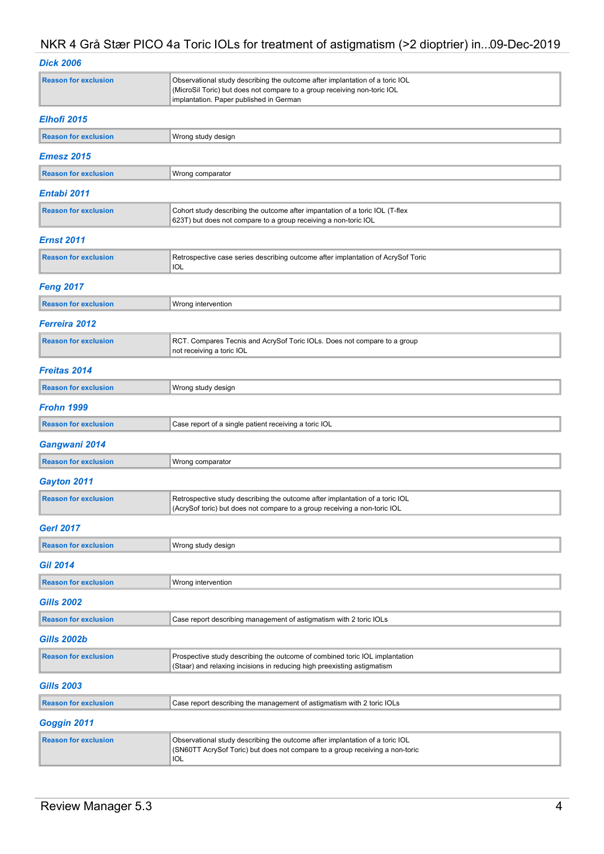## Dick 2006

| <b>Reason for exclusion</b> | Observational study describing the outcome after implantation of a toric IOL<br>(MicroSil Toric) but does not compare to a group receiving non-toric IOL<br>implantation. Paper published in German |  |
|-----------------------------|-----------------------------------------------------------------------------------------------------------------------------------------------------------------------------------------------------|--|
| Elhofi 2015                 |                                                                                                                                                                                                     |  |
| <b>Reason for exclusion</b> | Wrong study design                                                                                                                                                                                  |  |
| <b>Emesz 2015</b>           |                                                                                                                                                                                                     |  |
| <b>Reason for exclusion</b> | Wrong comparator                                                                                                                                                                                    |  |
| Entabi 2011                 |                                                                                                                                                                                                     |  |
| <b>Reason for exclusion</b> | Cohort study describing the outcome after impantation of a toric IOL (T-flex<br>623T) but does not compare to a group receiving a non-toric IOL                                                     |  |
| <b>Ernst 2011</b>           |                                                                                                                                                                                                     |  |
| <b>Reason for exclusion</b> | Retrospective case series describing outcome after implantation of AcrySof Toric<br>IOL                                                                                                             |  |
| <b>Feng 2017</b>            |                                                                                                                                                                                                     |  |
| <b>Reason for exclusion</b> | Wrong intervention                                                                                                                                                                                  |  |
| Ferreira 2012               |                                                                                                                                                                                                     |  |
| <b>Reason for exclusion</b> | RCT. Compares Tecnis and AcrySof Toric IOLs. Does not compare to a group<br>not receiving a toric IOL                                                                                               |  |
| <b>Freitas 2014</b>         |                                                                                                                                                                                                     |  |
| <b>Reason for exclusion</b> | Wrong study design                                                                                                                                                                                  |  |
| <b>Frohn 1999</b>           |                                                                                                                                                                                                     |  |
| <b>Reason for exclusion</b> | Case report of a single patient receiving a toric IOL                                                                                                                                               |  |
| Gangwani 2014               |                                                                                                                                                                                                     |  |
| <b>Reason for exclusion</b> | Wrong comparator                                                                                                                                                                                    |  |
| Gayton 2011                 |                                                                                                                                                                                                     |  |
| <b>Reason for exclusion</b> | Retrospective study describing the outcome after implantation of a toric IOL<br>(AcrySof toric) but does not compare to a group receiving a non-toric IOL                                           |  |
| <b>Gerl 2017</b>            |                                                                                                                                                                                                     |  |
| <b>Reason for exclusion</b> | Wrong study design                                                                                                                                                                                  |  |
| <b>Gil 2014</b>             |                                                                                                                                                                                                     |  |
| <b>Reason for exclusion</b> | Wrong intervention                                                                                                                                                                                  |  |
| <b>Gills 2002</b>           |                                                                                                                                                                                                     |  |
| <b>Reason for exclusion</b> | Case report describing management of astigmatism with 2 toric IOLs                                                                                                                                  |  |
| <b>Gills 2002b</b>          |                                                                                                                                                                                                     |  |
| <b>Reason for exclusion</b> | Prospective study describing the outcome of combined toric IOL implantation<br>(Staar) and relaxing incisions in reducing high preexisting astigmatism                                              |  |
| <b>Gills 2003</b>           |                                                                                                                                                                                                     |  |
| <b>Reason for exclusion</b> | Case report describing the management of astigmatism with 2 toric IOLs                                                                                                                              |  |
| Goggin 2011                 |                                                                                                                                                                                                     |  |
| <b>Reason for exclusion</b> | Observational study describing the outcome after implantation of a toric IOL<br>(SN60TT AcrySof Toric) but does not compare to a group receiving a non-toric<br><b>IOL</b>                          |  |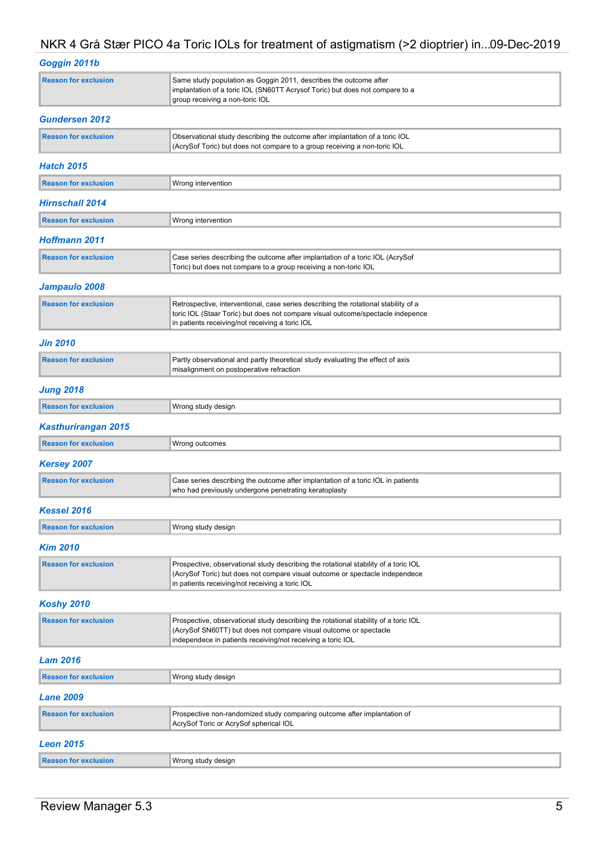| Goggin 2011b                |                                                                                                                                                                                                                           |
|-----------------------------|---------------------------------------------------------------------------------------------------------------------------------------------------------------------------------------------------------------------------|
| <b>Reason for exclusion</b> | Same study population as Goggin 2011, describes the outcome after<br>implantation of a toric IOL (SN60TT Acrysof Toric) but does not compare to a<br>group receiving a non-toric IOL                                      |
| <b>Gundersen 2012</b>       |                                                                                                                                                                                                                           |
| <b>Reason for exclusion</b> | Observational study describing the outcome after implantation of a toric IOL<br>(AcrySof Toric) but does not compare to a group receiving a non-toric IOL                                                                 |
| <b>Hatch 2015</b>           |                                                                                                                                                                                                                           |
| <b>Reason for exclusion</b> | Wrong intervention                                                                                                                                                                                                        |
| Hirnschall 2014             |                                                                                                                                                                                                                           |
| <b>Reason for exclusion</b> | Wrong intervention                                                                                                                                                                                                        |
| <b>Hoffmann 2011</b>        |                                                                                                                                                                                                                           |
| <b>Reason for exclusion</b> | Case series describing the outcome after implantation of a toric IOL (AcrySof<br>Toric) but does not compare to a group receiving a non-toric IOL                                                                         |
| Jampaulo 2008               |                                                                                                                                                                                                                           |
| <b>Reason for exclusion</b> | Retrospective, interventional, case series describing the rotational stability of a<br>toric IOL (Staar Toric) but does not compare visual outcome/spectacle indepence<br>in patients receiving/not receiving a toric IOL |
| <b>Jin 2010</b>             |                                                                                                                                                                                                                           |
| <b>Reason for exclusion</b> | Partly observational and partly theoretical study evaluating the effect of axis<br>misalignment on postoperative refraction                                                                                               |
| <b>Jung 2018</b>            |                                                                                                                                                                                                                           |
| <b>Reason for exclusion</b> | Wrong study design                                                                                                                                                                                                        |
| <b>Kasthurirangan 2015</b>  |                                                                                                                                                                                                                           |
| <b>Reason for exclusion</b> | Wrong outcomes                                                                                                                                                                                                            |
| <b>Kersey 2007</b>          |                                                                                                                                                                                                                           |
| <b>Reason for exclusion</b> | Case series describing the outcome after implantation of a toric IOL in patients<br>who had previously undergone penetrating keratoplasty                                                                                 |
| Kessel 2016                 |                                                                                                                                                                                                                           |
| <b>Reason for exclusion</b> | Wrong study design                                                                                                                                                                                                        |
| <b>Kim 2010</b>             |                                                                                                                                                                                                                           |
| <b>Reason for exclusion</b> | Prospective, observational study describing the rotational stability of a toric IOL<br>(AcrySof Toric) but does not compare visual outcome or spectacle independece<br>in patients receiving/not receiving a toric IOL    |
| <b>Koshy 2010</b>           |                                                                                                                                                                                                                           |
| <b>Reason for exclusion</b> | Prospective, observational study describing the rotational stability of a toric IOL<br>(AcrySof SN60TT) but does not compare visual outcome or spectacle<br>independece in patients receiving/not receiving a toric IOL   |
| <b>Lam 2016</b>             |                                                                                                                                                                                                                           |
| <b>Reason for exclusion</b> | Wrong study design                                                                                                                                                                                                        |
| <b>Lane 2009</b>            |                                                                                                                                                                                                                           |
| <b>Reason for exclusion</b> | Prospective non-randomized study comparing outcome after implantation of<br>AcrySof Toric or AcrySof spherical IOL                                                                                                        |
| <b>Leon 2015</b>            |                                                                                                                                                                                                                           |
| <b>Reason for exclusion</b> | Wrong study design                                                                                                                                                                                                        |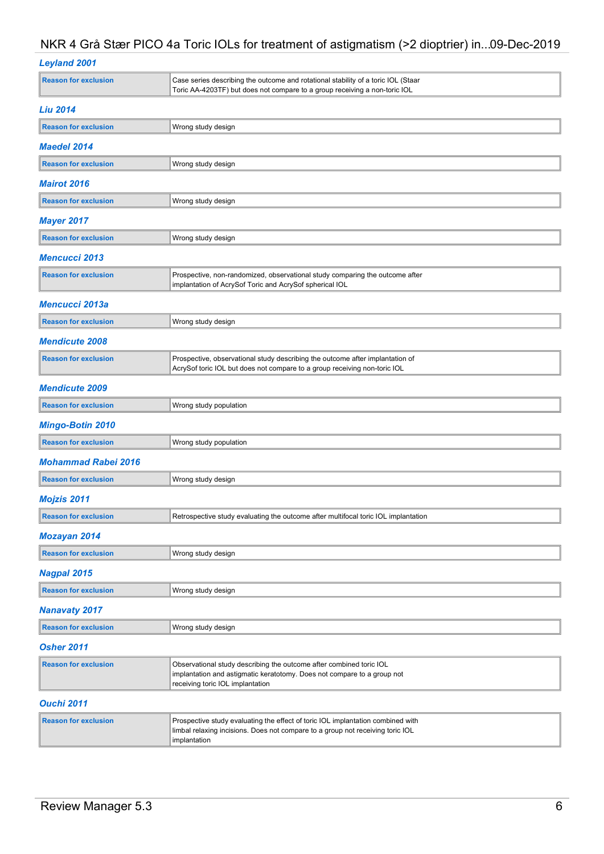|  | <b>Leyland 2001</b> |  |
|--|---------------------|--|

| <b>Reason for exclusion</b> | Case series describing the outcome and rotational stability of a toric IOL (Staar<br>Toric AA-4203TF) but does not compare to a group receiving a non-toric IOL                    |
|-----------------------------|------------------------------------------------------------------------------------------------------------------------------------------------------------------------------------|
| <b>Liu 2014</b>             |                                                                                                                                                                                    |
| <b>Reason for exclusion</b> | Wrong study design                                                                                                                                                                 |
| <b>Maedel 2014</b>          |                                                                                                                                                                                    |
| <b>Reason for exclusion</b> | Wrong study design                                                                                                                                                                 |
| <b>Mairot 2016</b>          |                                                                                                                                                                                    |
| <b>Reason for exclusion</b> | Wrong study design                                                                                                                                                                 |
| <b>Mayer 2017</b>           |                                                                                                                                                                                    |
| <b>Reason for exclusion</b> | Wrong study design                                                                                                                                                                 |
| <b>Mencucci 2013</b>        |                                                                                                                                                                                    |
| <b>Reason for exclusion</b> | Prospective, non-randomized, observational study comparing the outcome after<br>implantation of AcrySof Toric and AcrySof spherical IOL                                            |
| Mencucci 2013a              |                                                                                                                                                                                    |
| <b>Reason for exclusion</b> | Wrong study design                                                                                                                                                                 |
| <b>Mendicute 2008</b>       |                                                                                                                                                                                    |
| <b>Reason for exclusion</b> | Prospective, observational study describing the outcome after implantation of<br>AcrySof toric IOL but does not compare to a group receiving non-toric IOL                         |
| <b>Mendicute 2009</b>       |                                                                                                                                                                                    |
| <b>Reason for exclusion</b> | Wrong study population                                                                                                                                                             |
| <b>Mingo-Botin 2010</b>     |                                                                                                                                                                                    |
| <b>Reason for exclusion</b> | Wrong study population                                                                                                                                                             |
| <b>Mohammad Rabei 2016</b>  |                                                                                                                                                                                    |
| <b>Reason for exclusion</b> | Wrong study design                                                                                                                                                                 |
| <b>Mojzis 2011</b>          |                                                                                                                                                                                    |
| <b>Reason for exclusion</b> | Retrospective study evaluating the outcome after multifocal toric IOL implantation                                                                                                 |
| <b>Mozayan 2014</b>         |                                                                                                                                                                                    |
| <b>Reason for exclusion</b> | Wrong study design                                                                                                                                                                 |
| <b>Nagpal 2015</b>          |                                                                                                                                                                                    |
| <b>Reason for exclusion</b> | Wrong study design                                                                                                                                                                 |
| <b>Nanavaty 2017</b>        |                                                                                                                                                                                    |
| <b>Reason for exclusion</b> | Wrong study design                                                                                                                                                                 |
| <b>Osher 2011</b>           |                                                                                                                                                                                    |
| <b>Reason for exclusion</b> | Observational study describing the outcome after combined toric IOL<br>implantation and astigmatic keratotomy. Does not compare to a group not<br>receiving toric IOL implantation |
| <b>Ouchi 2011</b>           |                                                                                                                                                                                    |
| <b>Reason for exclusion</b> | Prospective study evaluating the effect of toric IOL implantation combined with<br>limbal relaxing incisions. Does not compare to a group not receiving toric IOL                  |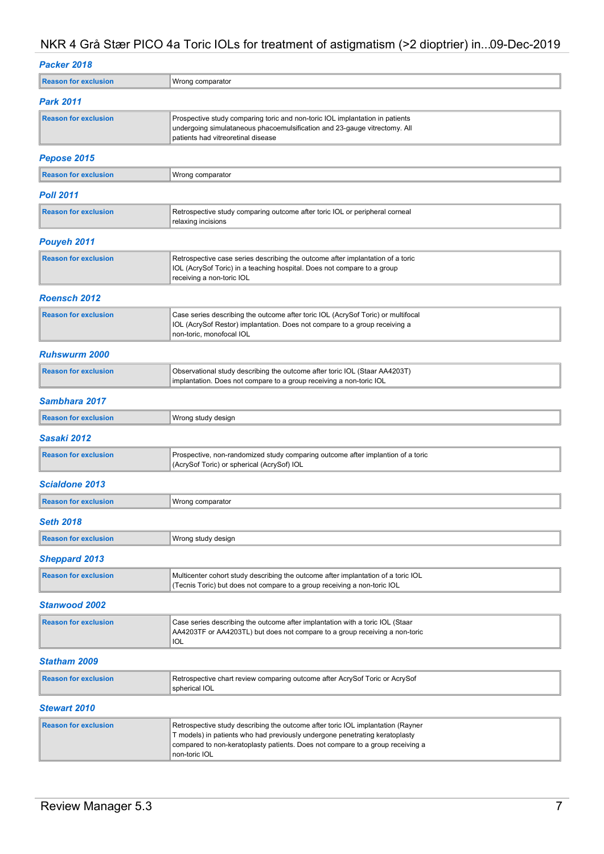## Packer 2018

| <b>Reason for exclusion</b> | Wrong comparator                                                                                                                                                                                                                                                  |
|-----------------------------|-------------------------------------------------------------------------------------------------------------------------------------------------------------------------------------------------------------------------------------------------------------------|
| Park 2011                   |                                                                                                                                                                                                                                                                   |
| <b>Reason for exclusion</b> | Prospective study comparing toric and non-toric IOL implantation in patients<br>undergoing simulataneous phacoemulsification and 23-gauge vitrectomy. All<br>patients had vitreoretinal disease                                                                   |
| Pepose 2015                 |                                                                                                                                                                                                                                                                   |
| <b>Reason for exclusion</b> | Wrong comparator                                                                                                                                                                                                                                                  |
| <b>Poll 2011</b>            |                                                                                                                                                                                                                                                                   |
| <b>Reason for exclusion</b> | Retrospective study comparing outcome after toric IOL or peripheral corneal<br>relaxing incisions                                                                                                                                                                 |
| Pouyeh 2011                 |                                                                                                                                                                                                                                                                   |
| <b>Reason for exclusion</b> | Retrospective case series describing the outcome after implantation of a toric<br>IOL (AcrySof Toric) in a teaching hospital. Does not compare to a group<br>receiving a non-toric IOL                                                                            |
| <b>Roensch 2012</b>         |                                                                                                                                                                                                                                                                   |
| <b>Reason for exclusion</b> | Case series describing the outcome after toric IOL (AcrySof Toric) or multifocal<br>IOL (AcrySof Restor) implantation. Does not compare to a group receiving a<br>non-toric, monofocal IOL                                                                        |
| <b>Ruhswurm 2000</b>        |                                                                                                                                                                                                                                                                   |
| <b>Reason for exclusion</b> | Observational study describing the outcome after toric IOL (Staar AA4203T)<br>implantation. Does not compare to a group receiving a non-toric IOL                                                                                                                 |
| Sambhara 2017               |                                                                                                                                                                                                                                                                   |
| <b>Reason for exclusion</b> | Wrong study design                                                                                                                                                                                                                                                |
| Sasaki 2012                 |                                                                                                                                                                                                                                                                   |
| <b>Reason for exclusion</b> | Prospective, non-randomized study comparing outcome after implantion of a toric<br>(AcrySof Toric) or spherical (AcrySof) IOL                                                                                                                                     |
| <b>Scialdone 2013</b>       |                                                                                                                                                                                                                                                                   |
| <b>Reason for exclusion</b> | Wrong comparator                                                                                                                                                                                                                                                  |
| Seth 2018                   |                                                                                                                                                                                                                                                                   |
| <b>Reason for exclusion</b> | Wrong study design                                                                                                                                                                                                                                                |
| <b>Sheppard 2013</b>        |                                                                                                                                                                                                                                                                   |
| <b>Reason for exclusion</b> | Multicenter cohort study describing the outcome after implantation of a toric IOL<br>(Tecnis Toric) but does not compare to a group receiving a non-toric IOL                                                                                                     |
| <b>Stanwood 2002</b>        |                                                                                                                                                                                                                                                                   |
| <b>Reason for exclusion</b> | Case series describing the outcome after implantation with a toric IOL (Staar<br>AA4203TF or AA4203TL) but does not compare to a group receiving a non-toric<br>IOL                                                                                               |
| <b>Statham 2009</b>         |                                                                                                                                                                                                                                                                   |
| <b>Reason for exclusion</b> | Retrospective chart review comparing outcome after AcrySof Toric or AcrySof<br>spherical IOL                                                                                                                                                                      |
| <b>Stewart 2010</b>         |                                                                                                                                                                                                                                                                   |
| <b>Reason for exclusion</b> | Retrospective study describing the outcome after toric IOL implantation (Rayner<br>T models) in patients who had previously undergone penetrating keratoplasty<br>compared to non-keratoplasty patients. Does not compare to a group receiving a<br>non-toric IOL |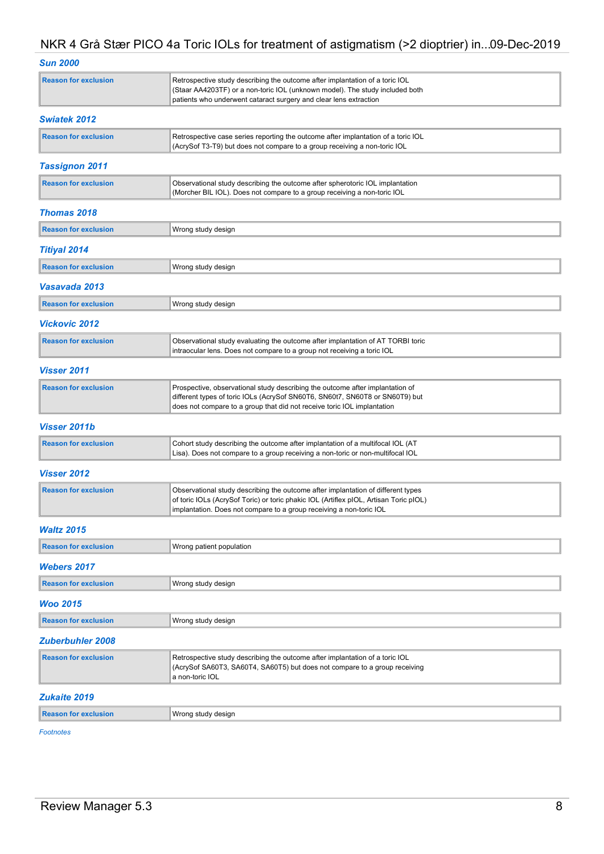| sun 2000 |
|----------|

| <b>Reason for exclusion</b> | Retrospective study describing the outcome after implantation of a toric IOL<br>(Staar AA4203TF) or a non-toric IOL (unknown model). The study included both<br>patients who underwent cataract surgery and clear lens extraction                |
|-----------------------------|--------------------------------------------------------------------------------------------------------------------------------------------------------------------------------------------------------------------------------------------------|
| <b>Swiatek 2012</b>         |                                                                                                                                                                                                                                                  |
| <b>Reason for exclusion</b> | Retrospective case series reporting the outcome after implantation of a toric IOL<br>(AcrySof T3-T9) but does not compare to a group receiving a non-toric IOL                                                                                   |
| <b>Tassignon 2011</b>       |                                                                                                                                                                                                                                                  |
| <b>Reason for exclusion</b> | Observational study describing the outcome after spherotoric IOL implantation<br>(Morcher BIL IOL). Does not compare to a group receiving a non-toric IOL                                                                                        |
| <b>Thomas 2018</b>          |                                                                                                                                                                                                                                                  |
| <b>Reason for exclusion</b> | Wrong study design                                                                                                                                                                                                                               |
| <b>Titiyal 2014</b>         |                                                                                                                                                                                                                                                  |
| <b>Reason for exclusion</b> | Wrong study design                                                                                                                                                                                                                               |
| Vasavada 2013               |                                                                                                                                                                                                                                                  |
| <b>Reason for exclusion</b> | Wrong study design                                                                                                                                                                                                                               |
| <b>Vickovic 2012</b>        |                                                                                                                                                                                                                                                  |
| <b>Reason for exclusion</b> | Observational study evaluating the outcome after implantation of AT TORBI toric<br>intraocular lens. Does not compare to a group not receiving a toric IOL                                                                                       |
| Visser 2011                 |                                                                                                                                                                                                                                                  |
| <b>Reason for exclusion</b> | Prospective, observational study describing the outcome after implantation of<br>different types of toric IOLs (AcrySof SN60T6, SN60t7, SN60T8 or SN60T9) but<br>does not compare to a group that did not receive toric IOL implantation         |
| <b>Visser 2011b</b>         |                                                                                                                                                                                                                                                  |
| <b>Reason for exclusion</b> | Cohort study describing the outcome after implantation of a multifocal IOL (AT<br>Lisa). Does not compare to a group receiving a non-toric or non-multifocal IOL                                                                                 |
| <b>Visser 2012</b>          |                                                                                                                                                                                                                                                  |
| <b>Reason for exclusion</b> | Observational study describing the outcome after implantation of different types<br>of toric IOLs (AcrySof Toric) or toric phakic IOL (Artiflex pIOL, Artisan Toric pIOL)<br>implantation. Does not compare to a group receiving a non-toric IOL |
| <b>Waltz 2015</b>           |                                                                                                                                                                                                                                                  |
| <b>Reason for exclusion</b> | Wrong patient population                                                                                                                                                                                                                         |
| <b>Webers 2017</b>          |                                                                                                                                                                                                                                                  |
| <b>Reason for exclusion</b> | Wrong study design                                                                                                                                                                                                                               |
| Woo 2015                    |                                                                                                                                                                                                                                                  |
| <b>Reason for exclusion</b> | Wrong study design                                                                                                                                                                                                                               |
| <b>Zuberbuhler 2008</b>     |                                                                                                                                                                                                                                                  |
| <b>Reason for exclusion</b> | Retrospective study describing the outcome after implantation of a toric IOL<br>(AcrySof SA60T3, SA60T4, SA60T5) but does not compare to a group receiving<br>a non-toric IOL                                                                    |
| <b>Zukaite 2019</b>         |                                                                                                                                                                                                                                                  |
| <b>Reason for exclusion</b> | Wrong study design                                                                                                                                                                                                                               |
|                             |                                                                                                                                                                                                                                                  |

Footnotes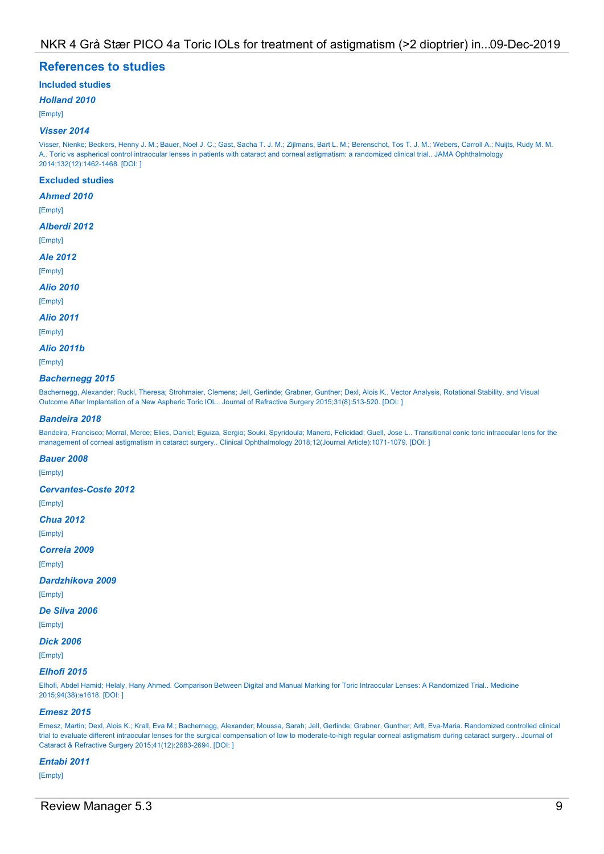## References to studies

## Included studies

#### Holland 2010

[Empty]

#### Visser 2014

Visser, Nienke; Beckers, Henny J. M.; Bauer, Noel J. C.; Gast, Sacha T. J. M.; Zijlmans, Bart L. M.; Berenschot, Tos T. J. M.; Webers, Carroll A.; Nuijts, Rudy M. M. A.. Toric vs aspherical control intraocular lenses in patients with cataract and corneal astigmatism: a randomized clinical trial.. JAMA Ophthalmology 2014;132(12):1462-1468. [DOI: ]

#### Excluded studies

#### Ahmed 2010

[Empty]

#### Alberdi 2012

[Empty]

#### Ale 2012

[Empty]

#### Alio 2010

[Empty]

## Alio 2011

[Empty]

#### Alio 2011b

[Empty]

#### Bachernegg 2015

Bachernegg, Alexander; Ruckl, Theresa; Strohmaier, Clemens; Jell, Gerlinde; Grabner, Gunther; Dexl, Alois K.. Vector Analysis, Rotational Stability, and Visual Outcome After Implantation of a New Aspheric Toric IOL.. Journal of Refractive Surgery 2015;31(8):513-520. [DOI: ]

#### Bandeira 2018

Bandeira, Francisco; Morral, Merce; Elies, Daniel; Eguiza, Sergio; Souki, Spyridoula; Manero, Felicidad; Guell, Jose L.. Transitional conic toric intraocular lens for the management of corneal astigmatism in cataract surgery.. Clinical Ophthalmology 2018;12(Journal Article):1071-1079. [DOI: ]

#### Bauer 2008

[Empty]

#### Cervantes-Coste 2012

[Empty]

#### Chua 2012

[Empty]

- Correia 2009
- [Empty]

#### Dardzhikova 2009

[Empty]

#### De Silva 2006

[Empty]

## Dick 2006

[Empty]

#### Elhofi 2015

Elhofi, Abdel Hamid; Helaly, Hany Ahmed. Comparison Between Digital and Manual Marking for Toric Intraocular Lenses: A Randomized Trial.. Medicine 2015;94(38):e1618. [DOI: ]

#### Emesz 2015

Emesz, Martin; Dexl, Alois K.; Krall, Eva M.; Bachernegg, Alexander; Moussa, Sarah; Jell, Gerlinde; Grabner, Gunther; Arlt, Eva-Maria. Randomized controlled clinical trial to evaluate different intraocular lenses for the surgical compensation of low to moderate-to-high regular corneal astigmatism during cataract surgery.. Journal of Cataract & Refractive Surgery 2015;41(12):2683-2694. [DOI: ]

#### Entabi 2011

[Empty]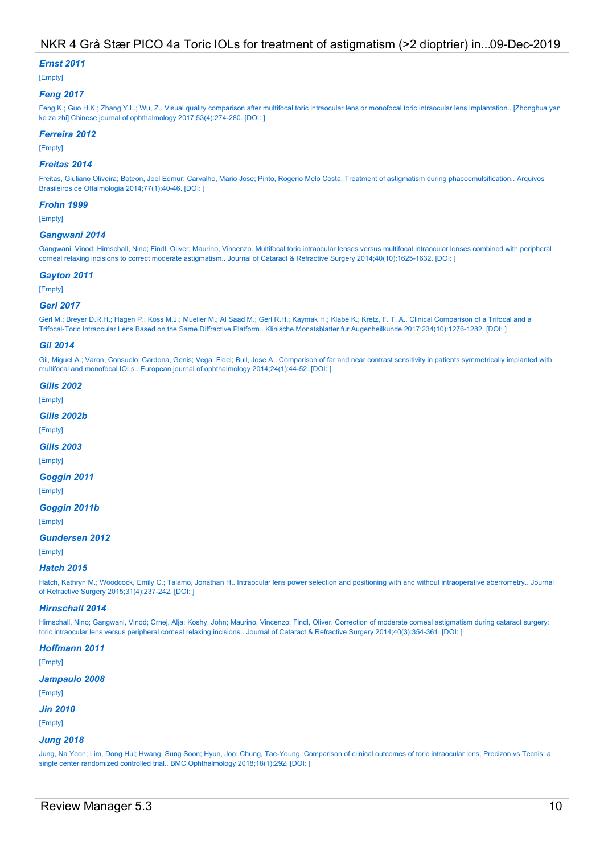#### Ernst 2011

[Empty]

#### Feng 2017

Feng K.; Guo H.K.; Zhang Y.L.; Wu, Z.. Visual quality comparison after multifocal toric intraocular lens or monofocal toric intraocular lens implantation.. [Zhonghua yan ke za zhi] Chinese journal of ophthalmology 2017;53(4):274-280. [DOI: ]

#### Ferreira 2012

[Empty]

#### Freitas 2014

Freitas, Giuliano Oliveira; Boteon, Joel Edmur; Carvalho, Mario Jose; Pinto, Rogerio Melo Costa. Treatment of astigmatism during phacoemulsification.. Arquivos Brasileiros de Oftalmologia 2014;77(1):40-46. [DOI: ]

#### Frohn 1999

[Empty]

#### Gangwani 2014

Gangwani, Vinod; Hirnschall, Nino; Findl, Oliver; Maurino, Vincenzo. Multifocal toric intraocular lenses versus multifocal intraocular lenses combined with peripheral corneal relaxing incisions to correct moderate astigmatism.. Journal of Cataract & Refractive Surgery 2014;40(10):1625-1632. [DOI: ]

#### Gayton 2011

[Empty]

#### Gerl 2017

Gerl M.; Breyer D.R.H.; Hagen P.; Koss M.J.; Mueller M.; Al Saad M.; Gerl R.H.; Kaymak H.; Klabe K.; Kretz, F. T. A.. Clinical Comparison of a Trifocal and a Trifocal-Toric Intraocular Lens Based on the Same Diffractive Platform.. Klinische Monatsblatter fur Augenheilkunde 2017;234(10):1276-1282. [DOI: ]

#### Gil 2014

Gil, Miguel A.; Varon, Consuelo; Cardona, Genis; Vega, Fidel; Buil, Jose A.. Comparison of far and near contrast sensitivity in patients symmetrically implanted with multifocal and monofocal IOLs.. European journal of ophthalmology 2014;24(1):44-52. [DOI: ]

#### **Gills 2002**

[Empty]

#### Gills 2002b

[Empty]

#### **Gills 2003**

[Empty]

#### Goggin 2011

[Empty]

#### Goggin 2011b

[Empty]

#### Gundersen 2012

[Empty]

#### Hatch 2015

Hatch, Kathryn M.; Woodcock, Emily C.; Talamo, Jonathan H.. Intraocular lens power selection and positioning with and without intraoperative aberrometry.. Journal of Refractive Surgery 2015;31(4):237-242. [DOI: ]

#### Hirnschall 2014

Hirnschall, Nino; Gangwani, Vinod; Crnej, Alja; Koshy, John; Maurino, Vincenzo; Findl, Oliver. Correction of moderate corneal astigmatism during cataract surgery: toric intraocular lens versus peripheral corneal relaxing incisions.. Journal of Cataract & Refractive Surgery 2014;40(3):354-361. [DOI: ]

#### Hoffmann 2011

[Empty]

#### Jampaulo 2008

[Empty]

#### Jin 2010

[Empty]

#### Jung 2018

Jung, Na Yeon; Lim, Dong Hui; Hwang, Sung Soon; Hyun, Joo; Chung, Tae-Young. Comparison of clinical outcomes of toric intraocular lens, Precizon vs Tecnis: a single center randomized controlled trial.. BMC Ophthalmology 2018;18(1):292. [DOI: ]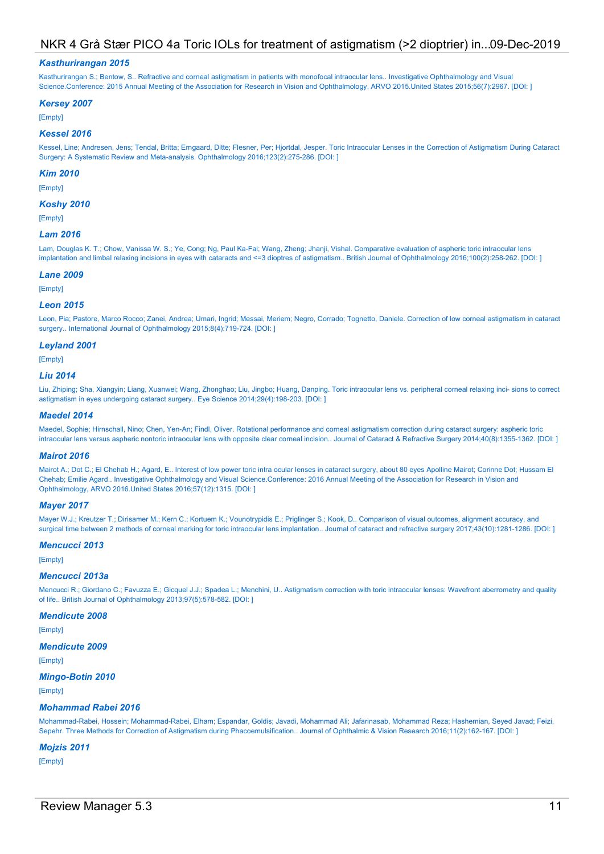#### Kasthurirangan 2015

Kasthurirangan S.; Bentow, S.. Refractive and corneal astigmatism in patients with monofocal intraocular lens.. Investigative Ophthalmology and Visual Science.Conference: 2015 Annual Meeting of the Association for Research in Vision and Ophthalmology, ARVO 2015.United States 2015;56(7):2967. [DOI: ]

#### Kersey 2007

[Empty]

#### Kessel 2016

Kessel, Line; Andresen, Jens; Tendal, Britta; Erngaard, Ditte; Flesner, Per; Hjortdal, Jesper. Toric Intraocular Lenses in the Correction of Astigmatism During Cataract Surgery: A Systematic Review and Meta-analysis. Ophthalmology 2016;123(2):275-286. [DOI: ]

#### Kim 2010

[Empty]

#### Koshy 2010

[Empty]

#### Lam 2016

Lam, Douglas K. T.; Chow, Vanissa W. S.; Ye, Cong; Ng, Paul Ka-Fai; Wang, Zheng; Jhanji, Vishal. Comparative evaluation of aspheric toric intraocular lens implantation and limbal relaxing incisions in eyes with cataracts and <=3 dioptres of astigmatism.. British Journal of Ophthalmology 2016;100(2):258-262. [DOI:]

#### Lane 2009

[Empty]

#### Leon 2015

Leon, Pia; Pastore, Marco Rocco; Zanei, Andrea; Umari, Ingrid; Messai, Meriem; Negro, Corrado; Tognetto, Daniele. Correction of low corneal astigmatism in cataract surgery.. International Journal of Ophthalmology 2015;8(4):719-724. [DOI: ]

#### Leyland 2001

[Empty]

#### Liu 2014

Liu, Zhiping; Sha, Xiangyin; Liang, Xuanwei; Wang, Zhonghao; Liu, Jingbo; Huang, Danping. Toric intraocular lens vs. peripheral corneal relaxing inci- sions to correct astigmatism in eyes undergoing cataract surgery.. Eye Science 2014;29(4):198-203. [DOI: ]

#### Maedel 2014

Maedel, Sophie; Hirnschall, Nino; Chen, Yen-An; Findl, Oliver. Rotational performance and corneal astigmatism correction during cataract surgery: aspheric toric intraocular lens versus aspheric nontoric intraocular lens with opposite clear corneal incision.. Journal of Cataract & Refractive Surgery 2014;40(8):1355-1362. [DOI:]

#### Mairot 2016

Mairot A.; Dot C.; El Chehab H.; Agard, E.. Interest of low power toric intra ocular lenses in cataract surgery, about 80 eyes Apolline Mairot; Corinne Dot; Hussam El Chehab; Emilie Agard.. Investigative Ophthalmology and Visual Science.Conference: 2016 Annual Meeting of the Association for Research in Vision and Ophthalmology, ARVO 2016.United States 2016;57(12):1315. [DOI: ]

#### Mayer 2017

Mayer W.J.; Kreutzer T.; Dirisamer M.; Kern C.; Kortuem K.; Vounotrypidis E.; Priglinger S.; Kook, D.. Comparison of visual outcomes, alignment accuracy, and surgical time between 2 methods of corneal marking for toric intraocular lens implantation.. Journal of cataract and refractive surgery 2017;43(10):1281-1286. [DOI: ]

#### Mencucci 2013

[Empty]

#### Mencucci 2013a

Mencucci R.; Giordano C.; Favuzza E.; Gicquel J.J.; Spadea L.; Menchini, U.. Astigmatism correction with toric intraocular lenses: Wavefront aberrometry and quality of life.. British Journal of Ophthalmology 2013;97(5):578-582. [DOI: ]

#### Mendicute 2008

[Empty]

#### Mendicute 2009

[Empty]

#### Mingo-Botin 2010

[Empty]

#### Mohammad Rabei 2016

Mohammad-Rabei, Hossein; Mohammad-Rabei, Elham; Espandar, Goldis; Javadi, Mohammad Ali; Jafarinasab, Mohammad Reza; Hashemian, Seyed Javad; Feizi, Sepehr. Three Methods for Correction of Astigmatism during Phacoemulsification.. Journal of Ophthalmic & Vision Research 2016;11(2):162-167. [DOI: ]

#### Mojzis 2011

[Empty]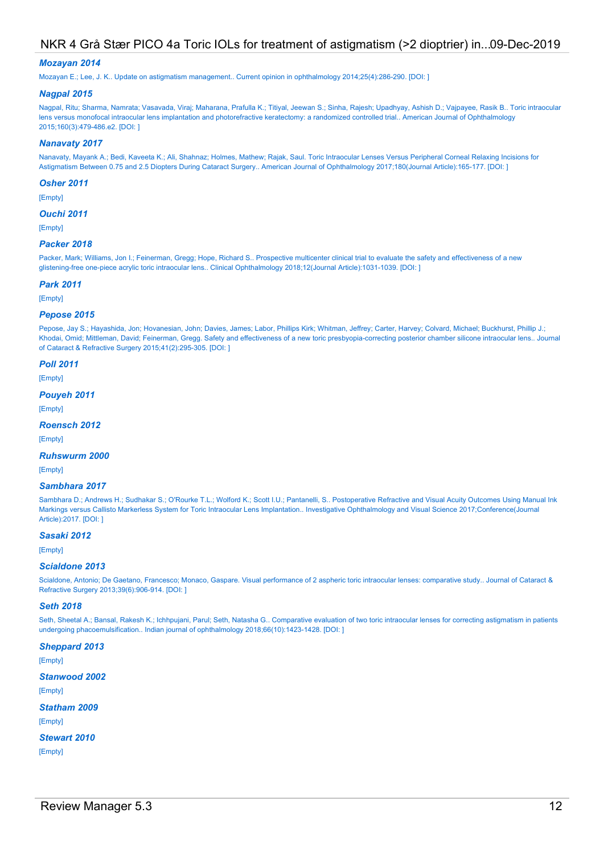#### Mozayan 2014

Mozayan E.; Lee, J. K.. Update on astigmatism management.. Current opinion in ophthalmology 2014;25(4):286-290. [DOI: ]

#### Nagpal 2015

Nagpal, Ritu; Sharma, Namrata; Vasavada, Viraj; Maharana, Prafulla K.; Titiyal, Jeewan S.; Sinha, Rajesh; Upadhyay, Ashish D.; Vajpayee, Rasik B.. Toric intraocular lens versus monofocal intraocular lens implantation and photorefractive keratectomy: a randomized controlled trial.. American Journal of Ophthalmology 2015;160(3):479-486.e2. [DOI: ]

#### Nanavaty 2017

Nanavaty, Mayank A.; Bedi, Kaveeta K.; Ali, Shahnaz; Holmes, Mathew; Rajak, Saul. Toric Intraocular Lenses Versus Peripheral Corneal Relaxing Incisions for Astigmatism Between 0.75 and 2.5 Diopters During Cataract Surgery.. American Journal of Ophthalmology 2017;180(Journal Article):165-177. [DOI: ]

#### Osher 2011

[Empty]

#### Ouchi 2011

[Empty]

#### Packer 2018

Packer, Mark; Williams, Jon I.; Feinerman, Gregg; Hope, Richard S.. Prospective multicenter clinical trial to evaluate the safety and effectiveness of a new glistening-free one-piece acrylic toric intraocular lens.. Clinical Ophthalmology 2018;12(Journal Article):1031-1039. [DOI: ]

#### Park 2011

[Empty]

#### Pepose 2015

Pepose, Jay S.; Hayashida, Jon; Hovanesian, John; Davies, James; Labor, Phillips Kirk; Whitman, Jeffrey; Carter, Harvey; Colvard, Michael; Buckhurst, Phillip J.; Khodai, Omid; Mittleman, David; Feinerman, Gregg. Safety and effectiveness of a new toric presbyopia-correcting posterior chamber silicone intraocular lens.. Journal of Cataract & Refractive Surgery 2015;41(2):295-305. [DOI: ]

#### Poll 2011

[Empty]

#### Pouyeh 2011

[Empty]

#### Roensch 2012

[Empty]

#### Ruhswurm 2000

[Empty]

#### Sambhara 2017

Sambhara D.; Andrews H.; Sudhakar S.; O'Rourke T.L.; Wolford K.; Scott I.U.; Pantanelli, S.. Postoperative Refractive and Visual Acuity Outcomes Using Manual Ink Markings versus Callisto Markerless System for Toric Intraocular Lens Implantation.. Investigative Ophthalmology and Visual Science 2017;Conference(Journal Article):2017. [DOI: ]

#### Sasaki 2012

[Empty]

#### Scialdone 2013

Scialdone, Antonio; De Gaetano, Francesco; Monaco, Gaspare. Visual performance of 2 aspheric toric intraocular lenses: comparative study.. Journal of Cataract & Refractive Surgery 2013;39(6):906-914. [DOI: ]

#### Seth 2018

Seth, Sheetal A.; Bansal, Rakesh K.; Ichhpujani, Parul; Seth, Natasha G.. Comparative evaluation of two toric intraocular lenses for correcting astigmatism in patients undergoing phacoemulsification.. Indian journal of ophthalmology 2018;66(10):1423-1428. [DOI: ]

Sheppard 2013 [Empty] Stanwood 2002 [Empty] Statham 2009 [Empty] Stewart 2010 [Empty]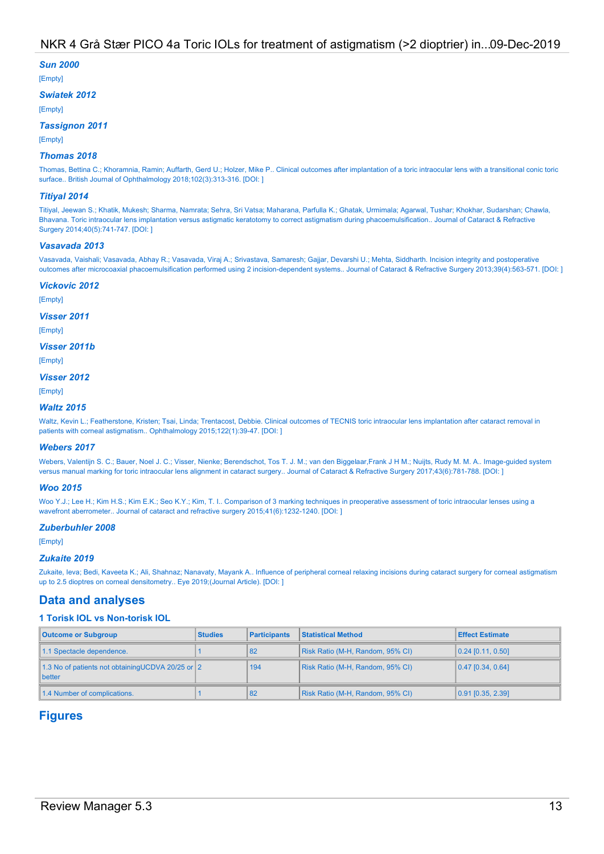#### Sun 2000

[Empty]

#### Swiatek 2012

[Empty]

#### Tassignon 2011

[Empty]

#### Thomas 2018

Thomas, Bettina C.; Khoramnia, Ramin; Auffarth, Gerd U.; Holzer, Mike P.. Clinical outcomes after implantation of a toric intraocular lens with a transitional conic toric surface.. British Journal of Ophthalmology 2018;102(3):313-316. [DOI: ]

#### Titiyal 2014

Titiyal, Jeewan S.; Khatik, Mukesh; Sharma, Namrata; Sehra, Sri Vatsa; Maharana, Parfulla K.; Ghatak, Urmimala; Agarwal, Tushar; Khokhar, Sudarshan; Chawla, Bhavana. Toric intraocular lens implantation versus astigmatic keratotomy to correct astigmatism during phacoemulsification.. Journal of Cataract & Refractive Surgery 2014;40(5):741-747. [DOI: ]

#### Vasavada 2013

Vasavada, Vaishali; Vasavada, Abhay R.; Vasavada, Viraj A.; Srivastava, Samaresh; Gajjar, Devarshi U.; Mehta, Siddharth. Incision integrity and postoperative outcomes after microcoaxial phacoemulsification performed using 2 incision-dependent systems.. Journal of Cataract & Refractive Surgery 2013;39(4):563-571. [DOI: ]

#### Vickovic 2012

[Empty]

#### Visser 2011

[Empty]

## Visser 2011b

[Empty]

## Visser 2012

[Empty]

#### Waltz 2015

Waltz, Kevin L.; Featherstone, Kristen; Tsai, Linda; Trentacost, Debbie. Clinical outcomes of TECNIS toric intraocular lens implantation after cataract removal in patients with corneal astigmatism.. Ophthalmology 2015;122(1):39-47. [DOI: ]

#### Webers 2017

Webers, Valentijn S. C.; Bauer, Noel J. C.; Visser, Nienke; Berendschot, Tos T. J. M.; van den Biggelaar,Frank J H M.; Nuijts, Rudy M. M. A.. Image-guided system versus manual marking for toric intraocular lens alignment in cataract surgery.. Journal of Cataract & Refractive Surgery 2017;43(6):781-788. [DOI: ]

#### Woo 2015

Woo Y.J.; Lee H.; Kim H.S.; Kim E.K.; Seo K.Y.; Kim, T. I.. Comparison of 3 marking techniques in preoperative assessment of toric intraocular lenses using a wavefront aberrometer.. Journal of cataract and refractive surgery 2015;41(6):1232-1240. [DOI: ]

#### Zuberbuhler 2008

[Empty]

#### Zukaite 2019

Zukaite, Ieva; Bedi, Kaveeta K.; Ali, Shahnaz; Nanavaty, Mayank A.. Influence of peripheral corneal relaxing incisions during cataract surgery for corneal astigmatism up to 2.5 dioptres on corneal densitometry.. Eye 2019;(Journal Article). [DOI: ]

## Data and analyses

#### 1 Torisk IOL vs Non-torisk IOL

| <b>Outcome or Subgroup</b>                                  | <b>Studies</b> | <b>Participants</b> | <b>Statistical Method</b>        | <b>Effect Estimate</b> |
|-------------------------------------------------------------|----------------|---------------------|----------------------------------|------------------------|
| 1.1 Spectacle dependence.                                   |                | 182                 | Risk Ratio (M-H, Random, 95% CI) | $[0.24]$ [0.11, 0.50]  |
| 1.3 No of patients not obtaining UCDVA 20/25 or 2<br>better |                | 194                 | Risk Ratio (M-H, Random, 95% CI) | $[0.47]$ [0.34, 0.64]  |
| 1.4 Number of complications.                                |                | 82                  | Risk Ratio (M-H, Random, 95% CI) | $[0.91]$ [0.35, 2.39]  |

## Figures